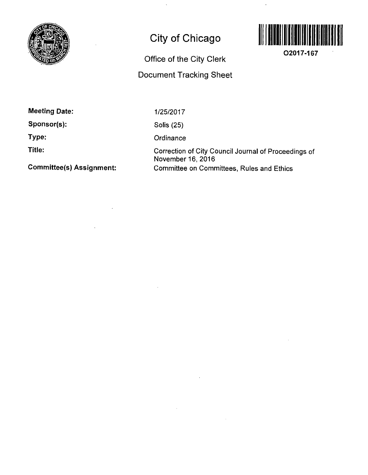

## **City of Chicago**



**O2017-167** 

**Office of the City Clerk** 

**Document Tracking Sheet** 

**Meeting Date:** 

**Sponsor(s):** 

**Type:** 

**Title:** 

**Committee(s) Assignment:** 

1/25/2017

Solis (25)

**Ordinance** 

Correction of City Council Journal of Proceedings of November 16, 2016 Committee on Committees, Rules and Ethics